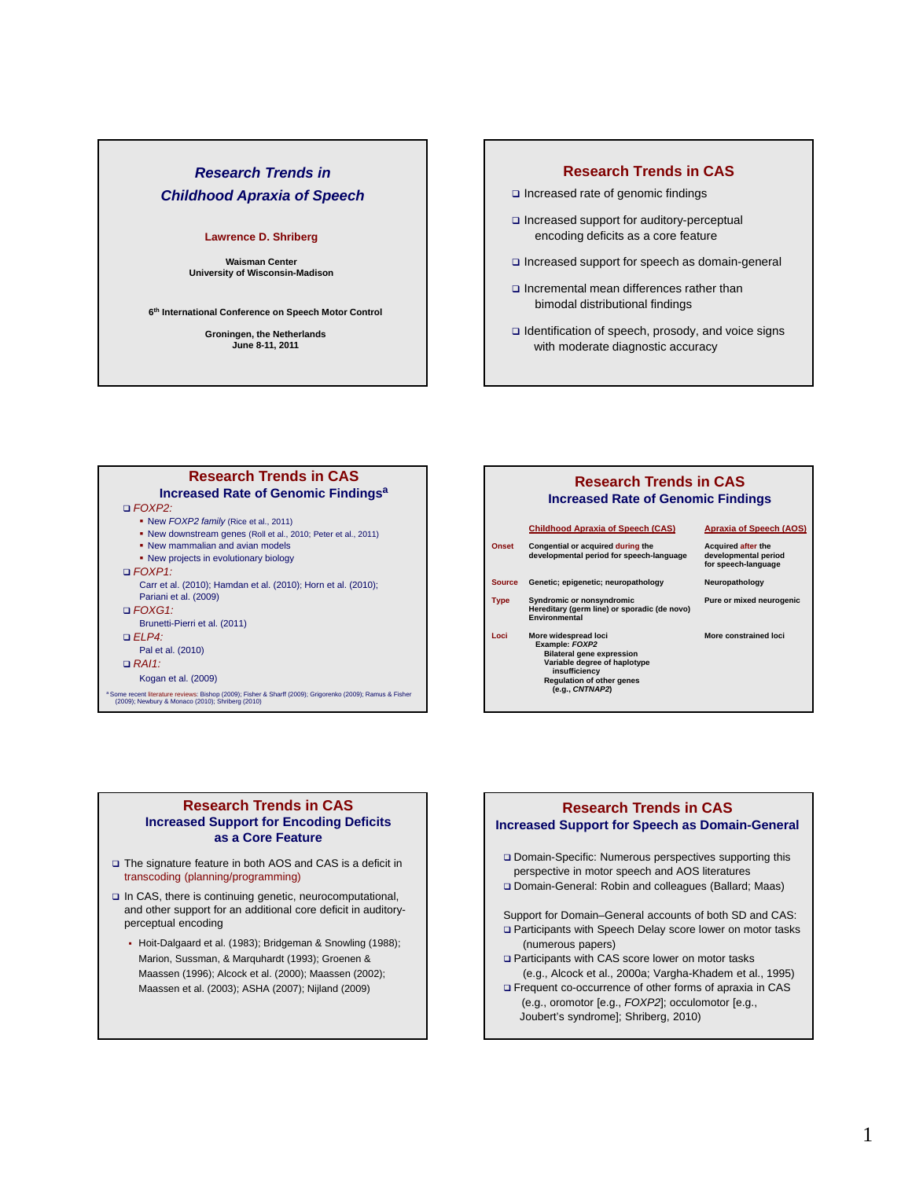# *Research Trends in Childhood Apraxia of Speech*

## **Lawrence D. Shriberg**

**Waisman Center University of Wisconsin-Madison**

**6th International Conference on Speech Motor Control**

**Groningen, the Netherlands June 8-11, 2011**

# **Research Trends in CAS**

- □ Increased rate of genomic findings
- □ Increased support for auditory-perceptual encoding deficits as a core feature
- Increased support for speech as domain-general
- $\Box$  Incremental mean differences rather than bimodal distributional findings
- $\Box$  Identification of speech, prosody, and voice signs with moderate diagnostic accuracy

# **Research Trends in CAS Increased Rate of Genomic Findingsa**

- *FOXP2:*
	- New *FOXP2 family* (Rice et al., 2011)
	- New downstream genes (Roll et al., 2010; Peter et al., 2011)
	- New mammalian and avian models
	- New projects in evolutionary biology
- *FOXP1:*
- Carr et al. (2010); Hamdan et al. (2010); Horn et al. (2010); Pariani et al. (2009)
- *FOXG1:*
- Brunetti-Pierri et al. (2011)
- *ELP4:*
- Pal et al. (2010)
- *RAI1:*
- Kogan et al. (2009)

a Some recent literature reviews: Bishop (2009); Fisher & Sharff (2009); Grigorenko (2009); Ramus & Fisher (2009); Newbury & Monaco (2010); Shriberg (2010)

# **Research Trends in CAS Increased Rate of Genomic Findings**

|             | <b>Childhood Apraxia of Speech (CAS)</b>                                                                                                                                           | <b>Apraxia of Speech (AOS)</b>                                           |
|-------------|------------------------------------------------------------------------------------------------------------------------------------------------------------------------------------|--------------------------------------------------------------------------|
| Onset       | Congential or acquired during the<br>developmental period for speech-language                                                                                                      | <b>Acquired after the</b><br>developmental period<br>for speech-language |
| Source      | Genetic; epigenetic; neuropathology                                                                                                                                                | Neuropathology                                                           |
| <b>Type</b> | Syndromic or nonsyndromic<br>Hereditary (germ line) or sporadic (de novo)<br>Environmental                                                                                         | Pure or mixed neurogenic                                                 |
| Loci        | More widespread loci<br>Example: FOXP2<br><b>Bilateral gene expression</b><br>Variable degree of haplotype<br>insufficiency<br><b>Regulation of other genes</b><br>(e.g., CNTNAP2) | More constrained loci                                                    |

# **Research Trends in CAS Increased Support for Encoding Deficits as a Core Feature**

- □ The signature feature in both AOS and CAS is a deficit in transcoding (planning/programming)
- In CAS, there is continuing genetic, neurocomputational, and other support for an additional core deficit in auditoryperceptual encoding
	- Hoit-Dalgaard et al. (1983); Bridgeman & Snowling (1988); Marion, Sussman, & Marquhardt (1993); Groenen & Maassen (1996); Alcock et al. (2000); Maassen (2002); Maassen et al. (2003); ASHA (2007); Nijland (2009)



Support for Domain–General accounts of both SD and CAS: □ Participants with Speech Delay score lower on motor tasks (numerous papers)

- □ Participants with CAS score lower on motor tasks (e.g., Alcock et al., 2000a; Vargha-Khadem et al., 1995)
- Frequent co-occurrence of other forms of apraxia in CAS (e.g., oromotor [e.g., *FOXP2*]; occulomotor [e.g., Joubert's syndrome]; Shriberg, 2010)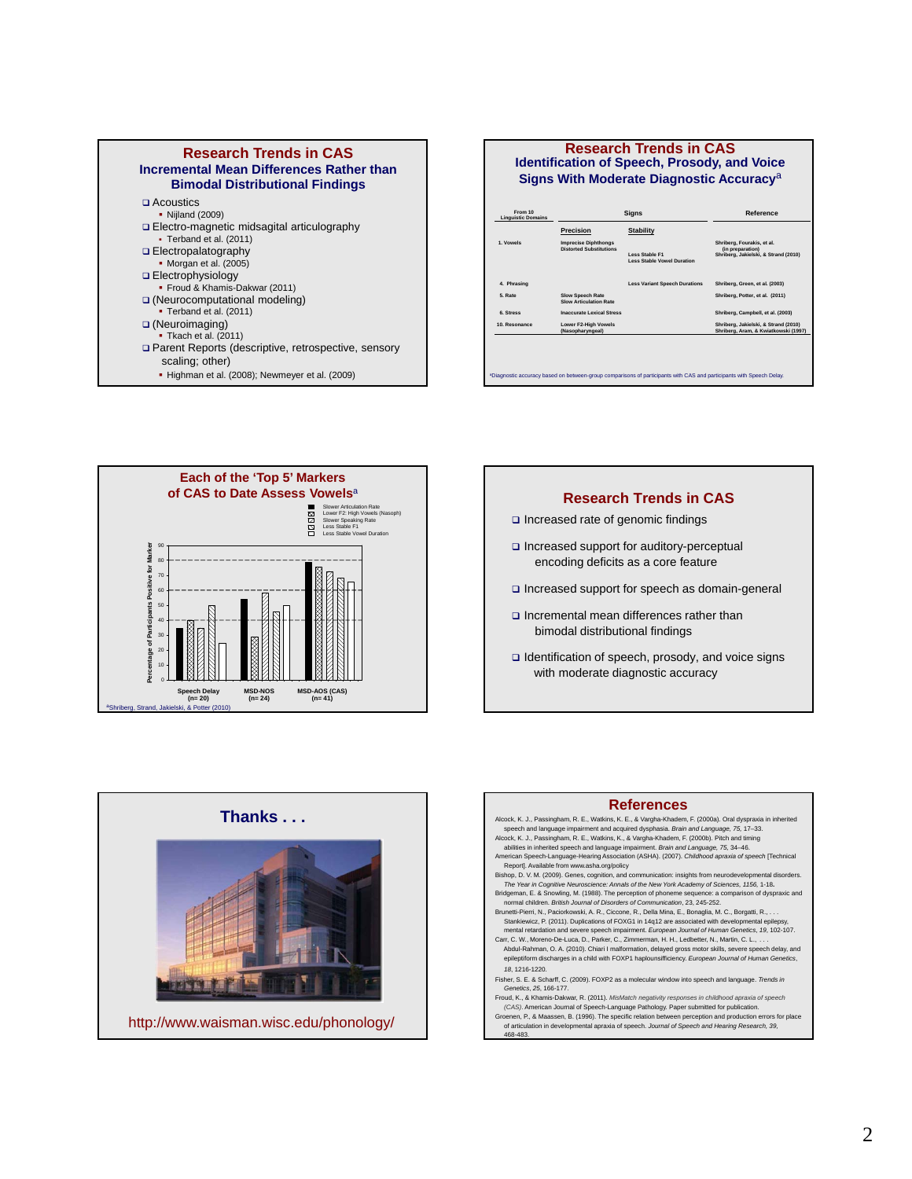

## **Research Trends in CAS Identification of Speech, Prosody, and Voice Signs With Moderate Diagnostic Accuracy**<sup>a</sup>

| <b>Linguistic Domains</b> |                                                               |                                                            |                                                                                        |
|---------------------------|---------------------------------------------------------------|------------------------------------------------------------|----------------------------------------------------------------------------------------|
|                           | <b>Precision</b>                                              | <b>Stability</b>                                           |                                                                                        |
| 1. Vowels                 | <b>Imprecise Diphthongs</b><br><b>Distorted Substitutions</b> | <b>Less Stable F1</b><br><b>Less Stable Vowel Duration</b> | Shriberg, Fourakis, et al.<br>(in preparation)<br>Shriberg, Jakielski, & Strand (2010) |
| 4. Phrasing               |                                                               | <b>Less Variant Speech Durations</b>                       | Shriberg, Green, et al. (2003)                                                         |
| 5. Rate                   | <b>Slow Speech Rate</b><br><b>Slow Articulation Rate</b>      |                                                            | Shriberg, Potter, et al. (2011)                                                        |
| 6. Stress                 | <b>Inaccurate Lexical Stress</b>                              |                                                            | Shriberg, Campbell, et al. (2003)                                                      |
| 10. Resonance             | <b>Lower F2-High Vowels</b><br>(Nasopharyngeal)               |                                                            | Shriberg, Jakielski, & Strand (2010)<br>Shriberg, Aram, & Kwiatkowski (1997)           |









Groenen, P., & Maassen, B. (1996). The specific relation between perception and production errors for place of articulation in developmental apraxia of speech. *Journal of Speech and Hearing Research, 39,*  468-483.